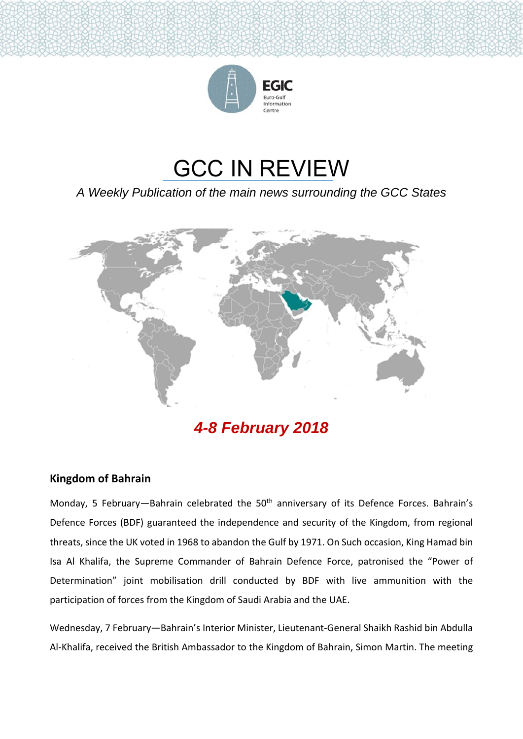

# GCC IN REVIEW

*A Weekly Publication of the main news surrounding the GCC States* 



*4-8 February 2018* 

## **Kingdom of Bahrain**

Monday, 5 February-Bahrain celebrated the 50<sup>th</sup> anniversary of its Defence Forces. Bahrain's Defence Forces (BDF) guaranteed the independence and security of the Kingdom, from regional threats, since the UK voted in 1968 to abandon the Gulf by 1971. On Such occasion, King Hamad bin Isa Al Khalifa, the Supreme Commander of Bahrain Defence Force, patronised the "Power of Determination" joint mobilisation drill conducted by BDF with live ammunition with the participation of forces from the Kingdom of Saudi Arabia and the UAE.

Wednesday, 7 February—Bahrain's Interior Minister, Lieutenant‐General Shaikh Rashid bin Abdulla Al‐Khalifa, received the British Ambassador to the Kingdom of Bahrain, Simon Martin. The meeting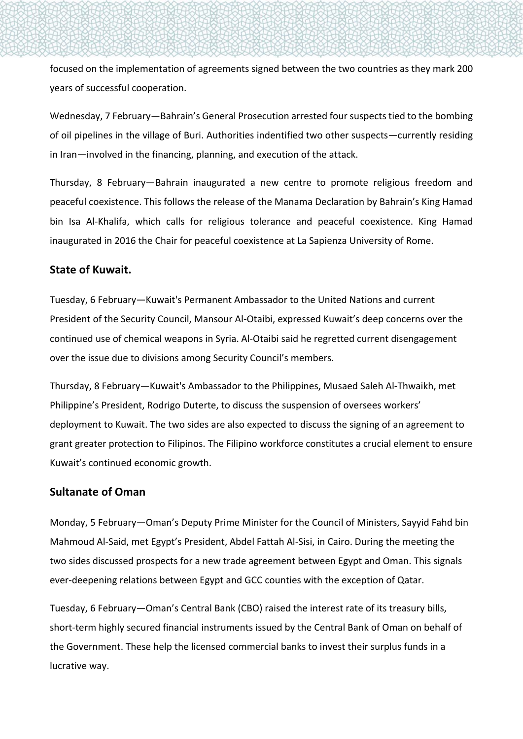focused on the implementation of agreements signed between the two countries as they mark 200 years of successful cooperation.

Wednesday, 7 February—Bahrain's General Prosecution arrested four suspects tied to the bombing of oil pipelines in the village of Buri. Authorities indentified two other suspects—currently residing in Iran—involved in the financing, planning, and execution of the attack.

Thursday, 8 February—Bahrain inaugurated a new centre to promote religious freedom and peaceful coexistence. This follows the release of the Manama Declaration by Bahrain's King Hamad bin Isa Al-Khalifa, which calls for religious tolerance and peaceful coexistence. King Hamad inaugurated in 2016 the Chair for peaceful coexistence at La Sapienza University of Rome.

#### **State of Kuwait.**

Tuesday, 6 February—Kuwait's Permanent Ambassador to the United Nations and current President of the Security Council, Mansour Al‐Otaibi, expressed Kuwait's deep concerns over the continued use of chemical weapons in Syria. Al‐Otaibi said he regretted current disengagement over the issue due to divisions among Security Council's members.

Thursday, 8 February—Kuwait's Ambassador to the Philippines, Musaed Saleh Al‐Thwaikh, met Philippine's President, Rodrigo Duterte, to discuss the suspension of oversees workers' deployment to Kuwait. The two sides are also expected to discuss the signing of an agreement to grant greater protection to Filipinos. The Filipino workforce constitutes a crucial element to ensure Kuwait's continued economic growth.

#### **Sultanate of Oman**

Monday, 5 February—Oman's Deputy Prime Minister for the Council of Ministers, Sayyid Fahd bin Mahmoud Al‐Said, met Egypt's President, Abdel Fattah Al‐Sisi, in Cairo. During the meeting the two sides discussed prospects for a new trade agreement between Egypt and Oman. This signals ever-deepening relations between Egypt and GCC counties with the exception of Qatar.

Tuesday, 6 February—Oman's Central Bank (CBO) raised the interest rate of its treasury bills, short-term highly secured financial instruments issued by the Central Bank of Oman on behalf of the Government. These help the licensed commercial banks to invest their surplus funds in a lucrative way.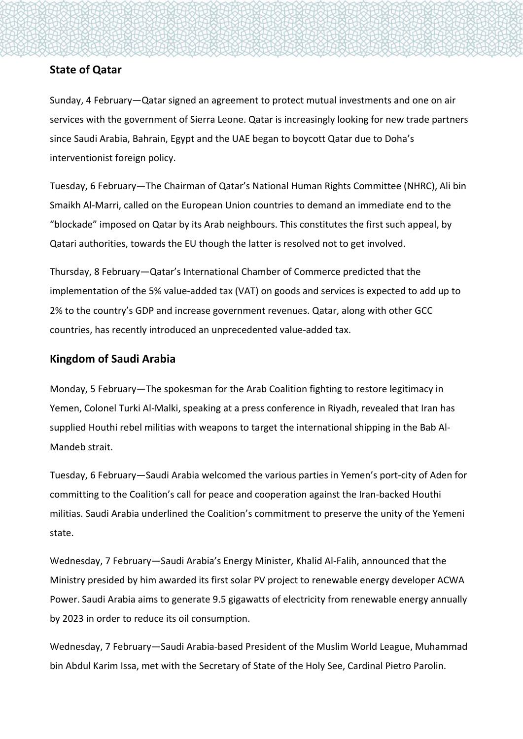### **State of Qatar**

Sunday, 4 February—Qatar signed an agreement to protect mutual investments and one on air services with the government of Sierra Leone. Qatar is increasingly looking for new trade partners since Saudi Arabia, Bahrain, Egypt and the UAE began to boycott Qatar due to Doha's interventionist foreign policy.

Tuesday, 6 February—The Chairman of Qatar's National Human Rights Committee (NHRC), Ali bin Smaikh Al‐Marri, called on the European Union countries to demand an immediate end to the "blockade" imposed on Qatar by its Arab neighbours. This constitutes the first such appeal, by Qatari authorities, towards the EU though the latter is resolved not to get involved.

Thursday, 8 February—Qatar's International Chamber of Commerce predicted that the implementation of the 5% value‐added tax (VAT) on goods and services is expected to add up to 2% to the country's GDP and increase government revenues. Qatar, along with other GCC countries, has recently introduced an unprecedented value‐added tax.

#### **Kingdom of Saudi Arabia**

Monday, 5 February—The spokesman for the Arab Coalition fighting to restore legitimacy in Yemen, Colonel Turki Al‐Malki, speaking at a press conference in Riyadh, revealed that Iran has supplied Houthi rebel militias with weapons to target the international shipping in the Bab Al‐ Mandeb strait.

Tuesday, 6 February—Saudi Arabia welcomed the various parties in Yemen's port‐city of Aden for committing to the Coalition's call for peace and cooperation against the Iran‐backed Houthi militias. Saudi Arabia underlined the Coalition's commitment to preserve the unity of the Yemeni state.

Wednesday, 7 February—Saudi Arabia's Energy Minister, Khalid Al‐Falih, announced that the Ministry presided by him awarded its first solar PV project to renewable energy developer ACWA Power. Saudi Arabia aims to generate 9.5 gigawatts of electricity from renewable energy annually by 2023 in order to reduce its oil consumption.

Wednesday, 7 February—Saudi Arabia‐based President of the Muslim World League, Muhammad bin Abdul Karim Issa, met with the Secretary of State of the Holy See, Cardinal Pietro Parolin.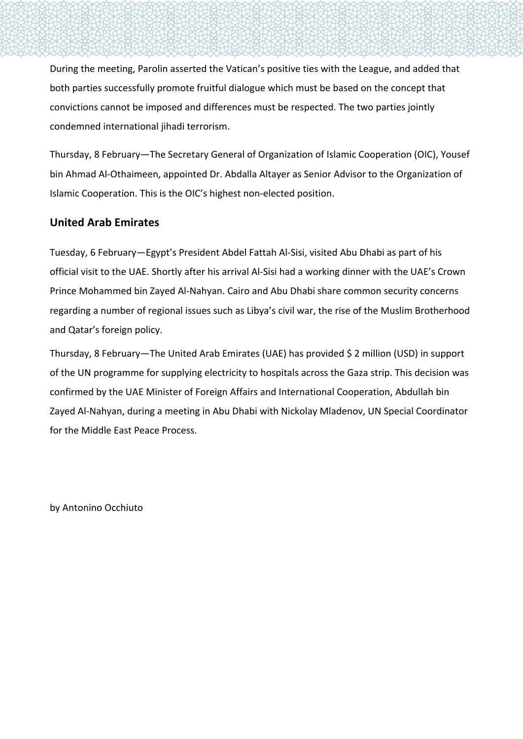During the meeting, Parolin asserted the Vatican's positive ties with the League, and added that both parties successfully promote fruitful dialogue which must be based on the concept that convictions cannot be imposed and differences must be respected. The two parties jointly condemned international jihadi terrorism.

Thursday, 8 February—The Secretary General of Organization of Islamic Cooperation (OIC), Yousef bin Ahmad Al‐Othaimeen, appointed Dr. Abdalla Altayer as Senior Advisor to the Organization of Islamic Cooperation. This is the OIC's highest non‐elected position.

## **United Arab Emirates**

Tuesday, 6 February—Egypt's President Abdel Fattah Al‐Sisi, visited Abu Dhabi as part of his official visit to the UAE. Shortly after his arrival Al‐Sisi had a working dinner with the UAE's Crown Prince Mohammed bin Zayed Al‐Nahyan. Cairo and Abu Dhabi share common security concerns regarding a number of regional issues such as Libya's civil war, the rise of the Muslim Brotherhood and Qatar's foreign policy.

Thursday, 8 February—The United Arab Emirates (UAE) has provided \$ 2 million (USD) in support of the UN programme for supplying electricity to hospitals across the Gaza strip. This decision was confirmed by the UAE Minister of Foreign Affairs and International Cooperation, Abdullah bin Zayed Al‐Nahyan, during a meeting in Abu Dhabi with Nickolay Mladenov, UN Special Coordinator for the Middle East Peace Process.

by Antonino Occhiuto